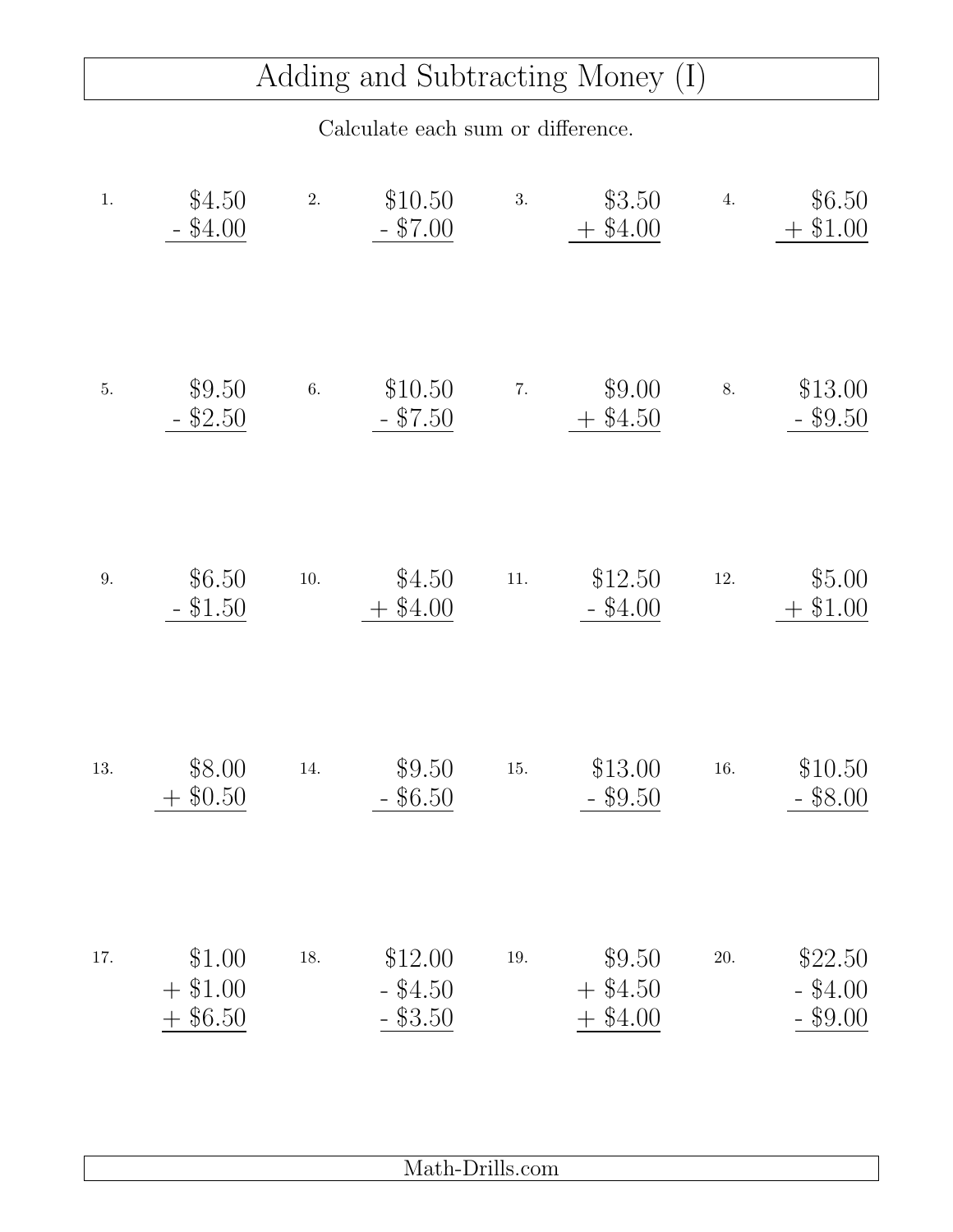## Adding and Subtracting Money (I)

Calculate each sum or difference.

| $1.$ | \$4.50<br>$-$ \$4.00                  | 2.       | \$10.50<br>$-$ \$7.00               | 3.    | \$3.50<br>$+$ \$4.00           | 4.       | \$6.50<br>$+$ \$1.00                   |
|------|---------------------------------------|----------|-------------------------------------|-------|--------------------------------|----------|----------------------------------------|
| $5.$ | \$9.50<br>\$2.50                      | 6.       | \$10.50<br>$-$ \$7.50               | 7.    | \$9.00<br>$+$ \$4.50           | 8.       | \$13.00<br>$-$ \$9.50                  |
| 9.   | \$6.50<br>\$1.50                      | $10. \,$ | \$4.50<br>\$4.00                    | $11.$ | \$12.50<br>$-$ \$4.00          | $12. \,$ | \$5.00<br>\$1.00<br>$\hspace{0.1mm} +$ |
| 13.  | \$8.00<br>\$0.50                      | 14.      | \$9.50<br>\$6.50                    | 15.   | \$13.00<br>$-$ \$9.50          | 16.      | \$10.50<br>$-$ \$8.00                  |
| 17.  | \$1.00<br>$+$ \$1.00<br>\$6.50<br>$+$ | 18.      | \$12.00<br>$-$ \$4.50<br>$-$ \$3.50 | 19.   | \$9.50<br>$+$ \$4.50<br>\$4.00 | 20.      | \$22.50<br>$-$ \$4.00<br>$-$ \$9.00    |

Math-Drills.com